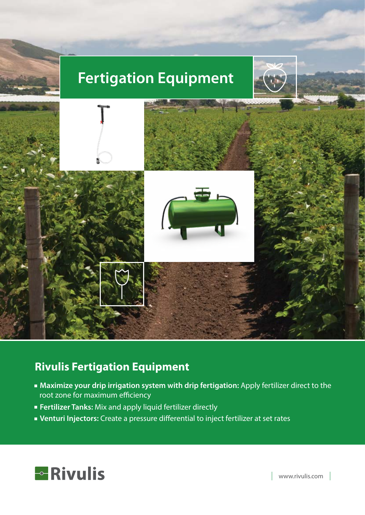# **Fertigation Equipment**





### **Rivulis Fertigation Equipment**

- **Maximize your drip irrigation system with drip fertigation:** Apply fertilizer direct to the root zone for maximum efficiency
- **Fertilizer Tanks:** Mix and apply liquid fertilizer directly
- **Venturi Injectors:** Create a pressure differential to inject fertilizer at set rates



www.rivulis.com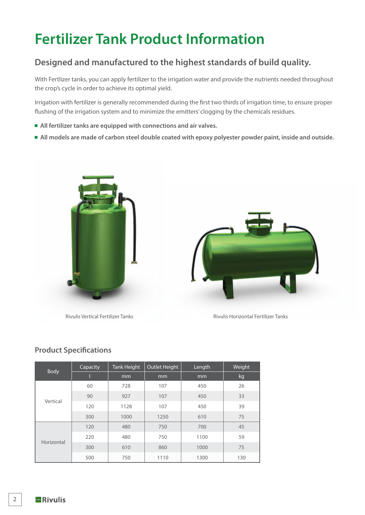# **Fertilizer Tank Product Information**

### **Designed and manufactured to the highest standards of build quality.**

With Fertlizer tanks, you can apply fertilizer to the irrigation water and provide the nutrients needed throughout the crop's cycle in order to achieve its optimal yield.

Irrigation with fertilizer is generally recommended during the first two thirds of irrigation time, to ensure proper flushing of the irrigation system and to minimize the emitters' clogging by the chemicals residues.

- **All fertilizer tanks are equipped with connections and air valves.**
- **All models are made of carbon steel double coated with epoxy polyester powder paint, inside and outside.**





Rivulis Vertical Fertilizer Tanks **Rivulis Horizontal Fertilizer Tanks** Rivulis Horizontal Fertilizer Tanks

#### **Product Specifications**

| <b>Body</b> | Capacity | Tank Height | Outlet Height | Length | Weight |
|-------------|----------|-------------|---------------|--------|--------|
|             |          | mm          | mm            | mm     | kg     |
|             | 60       | 728         | 107           | 450    | 26     |
| Vertical    | 90       | 927         | 107           | 450    | 33     |
|             | 120      | 1128        | 107           | 450    | 39     |
|             | 300      | 1000        | 1250          | 610    | 75     |
| Horizontal  | 120      | 480         | 750           | 700    | 45     |
|             | 220      | 480         | 750           | 1100   | 59     |
|             | 300      | 610         | 860           | 1000   | 75     |
|             | 500      | 750         | 1110          | 1300   | 130    |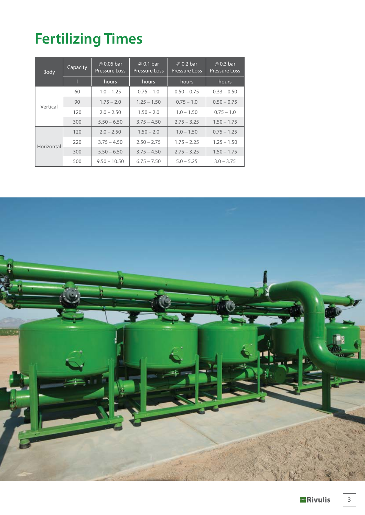# **Fertilizing Times**

| <b>Body</b> | Capacity | @ 0.05 bar<br><b>Pressure Loss</b> | @ 0.1 bar<br><b>Pressure Loss</b> | @ 0.2 bar<br><b>Pressure Loss</b> | @ 0.3 bar<br><b>Pressure Loss</b> |  |
|-------------|----------|------------------------------------|-----------------------------------|-----------------------------------|-----------------------------------|--|
|             |          | hours                              | hours                             | hours                             | hours                             |  |
|             | 60       | $1.0 - 1.25$                       | $0.75 - 1.0$                      | $0.50 - 0.75$                     | $0.33 - 0.50$                     |  |
| Vertical    | 90       | $1.75 - 2.0$                       | $1.25 - 1.50$                     | $0.75 - 1.0$                      | $0.50 - 0.75$                     |  |
|             | 120      | $2.0 - 2.50$                       | $1.50 - 2.0$                      | $1.0 - 1.50$                      | $0.75 - 1.0$                      |  |
|             | 300      | $5.50 - 6.50$                      | $3.75 - 4.50$                     | $2.75 - 3.25$                     | $1.50 - 1.75$                     |  |
| Horizontal  | 120      | $2.0 - 2.50$                       | $1.50 - 2.0$                      | $1.0 - 1.50$                      | $0.75 - 1.25$                     |  |
|             | 220      | $3.75 - 4.50$                      | $2.50 - 2.75$                     | $1.75 - 2.25$                     | $1.25 - 1.50$                     |  |
|             | 300      | $5.50 - 6.50$                      | $3.75 - 4.50$                     | $2.75 - 3.25$                     | $1.50 - 1.75$                     |  |
|             | 500      | $9.50 - 10.50$                     | $6.75 - 7.50$                     | $5.0 - 5.25$                      | $3.0 - 3.75$                      |  |

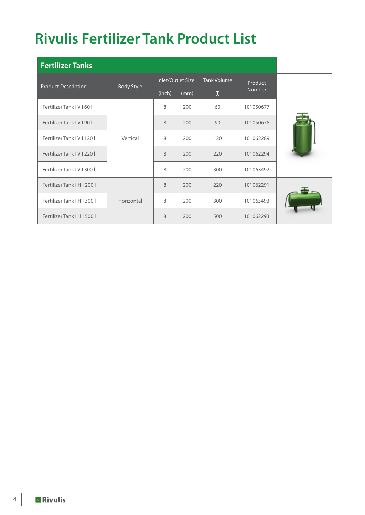# **Rivulis Fertilizer Tank Product List**

| <b>Fertilizer Tanks</b>    |                   |                   |      |                    |               |  |
|----------------------------|-------------------|-------------------|------|--------------------|---------------|--|
| <b>Product Description</b> | <b>Body Style</b> | Inlet/Outlet Size |      | <b>Tank Volume</b> | Product       |  |
|                            |                   | (inch)            | (mm) | $($ l $)$          | <b>Number</b> |  |
| Fertilizer Tank IV   60    |                   | 8                 | 200  | 60                 | 101050677     |  |
| Fertilizer Tank IV   90    |                   | 8                 | 200  | 90                 | 101050678     |  |
| Fertilizer Tank IV   120   | Vertical          | 8                 | 200  | 120                | 101062289     |  |
| Fertilizer Tank IV   220   |                   | 8                 | 200  | 220                | 101062294     |  |
| Fertilizer Tank IV   300   |                   | 8                 | 200  | 300                | 101063492     |  |
| Fertilizer Tank   H   200  |                   | 8                 | 200  | 220                | 101062291     |  |
| Fertilizer Tank   H   300  | Horizontal        | 8                 | 200  | 300                | 101063493     |  |
| Fertilizer Tank   H   500  |                   | 8                 | 200  | 500                | 101062293     |  |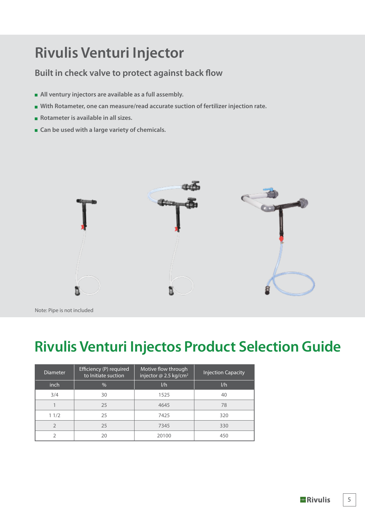## **Rivulis Venturi Injector**

#### **Built in check valve to protect against back flow**

- **All ventury injectors are available as a full assembly.**
- **With Rotameter, one can measure/read accurate suction of fertilizer injection rate.**
- **Rotameter is available in all sizes.**
- Can be used with a large variety of chemicals.



Note: Pipe is not included

### **Rivulis Venturi Injectos Product Selection Guide**

| <b>Diameter</b> | Efficiency (P) required<br>to Initiate suction | Motive flow through<br>injector @ 2.5 kg/cm <sup>2</sup> | <b>Injection Capacity</b> |
|-----------------|------------------------------------------------|----------------------------------------------------------|---------------------------|
| inch            | $\%$                                           | 1/h                                                      | 1/h                       |
| 3/4             | 30                                             | 1525                                                     | 40                        |
|                 | 25                                             | 4645                                                     | 78                        |
| 11/2            | 25                                             | 7425                                                     | 320                       |
| $\mathfrak{D}$  | 25                                             | 7345                                                     | 330                       |
| ำ               | 20                                             | 20100                                                    | 450                       |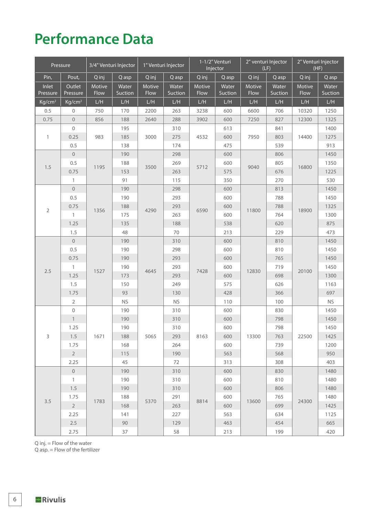## **Performance Data**

|                    | Pressure           |        | 3/4" Venturi Injector |                    | 1" Venturi Injector | 1-1/2" Venturi<br>Injector |         |        | 2" venturi Injector<br>(LF) |        | 2" Venturi Injector<br>(HF) |
|--------------------|--------------------|--------|-----------------------|--------------------|---------------------|----------------------------|---------|--------|-----------------------------|--------|-----------------------------|
| Pin,               | Pout,              | Q inj  | Q asp                 | Q inj              | Q asp               | Q inj                      | Q asp   | Q inj  | Q asp                       | Q inj  | Q asp                       |
| Inlet              | Outlet             | Motive | Water                 | Motive             | Water               | Motive                     | Water   | Motive | Water                       | Motive | Water                       |
| Pressure           | Pressure           | Flow   | Suction               | Flow               | Suction             | Flow                       | Suction | Flow   | Suction                     | Flow   | Suction                     |
| Kg/cm <sup>2</sup> | Kg/cm <sup>2</sup> | L/H    | L/H                   | L/H                | ${\sf L/H}$         | L/H                        | L/H     | L/H    | L/H                         | L/H    | ${\sf L/H}$                 |
| 0.5                | $\mathbf 0$        | 750    | 170                   | 2200               | 263                 | 3238                       | 600     | 6600   | 706                         | 10320  | 1250                        |
| 0.75               | $\overline{0}$     | 856    | 188                   | 2640               | 288                 | 3902                       | 600     | 7250   | 827                         | 12300  | 1325                        |
|                    | $\overline{0}$     |        | 195                   | 3000               | 310                 |                            | 613     |        | 841                         |        | 1400                        |
| $\mathbf{1}$       | 0.25               | 983    | 185                   |                    | 275                 | 4532                       | 600     | 7950   | 803                         | 14400  | 1275                        |
|                    | 0.5                |        | 138                   |                    | 174                 |                            | 475     |        | 539                         |        | 913                         |
|                    | $\mathbf 0$        |        | 190                   |                    | 298                 |                            | 600     |        | 806                         |        | 1450                        |
| 1.5                | 0.5                | 1195   | 188                   | 3500               | 269                 | 5712                       | 600     | 9040   | 805                         | 16800  | 1350                        |
|                    | 0.75               |        | 153                   |                    | 263                 |                            | 575     |        | 676                         |        | 1225                        |
|                    | $\mathbf{1}$       |        | 91                    |                    | 115                 |                            | 350     |        | 270                         |        | 530                         |
|                    | $\mathsf{O}$       |        | 190                   |                    | 298                 |                            | 600     |        | 813                         |        | 1450                        |
|                    | 0.5                |        | 190                   |                    | 293                 |                            | 600     |        | 788                         | 18900  | 1450                        |
| $\sqrt{2}$         | 0.75               | 1356   | 188                   | 4290               | 293                 | 6590                       | 600     | 11800  | 788                         |        | 1325                        |
|                    | $\mathbf{1}$       |        | 175                   |                    | 263                 |                            | 600     |        | 764                         |        | 1300                        |
|                    | 1.25               |        | 135                   |                    | 188                 |                            | 538     |        | 620                         |        | 875                         |
|                    | 1.5                |        | 48                    |                    | 70                  |                            | 213     |        | 229                         |        | 473                         |
|                    | $\mathbf 0$        |        | 190                   |                    | 310                 |                            | 600     |        | 810                         |        | 1450                        |
|                    | 0.5                |        | 190                   | 298                |                     | 600                        |         | 810    |                             | 1450   |                             |
|                    | 0.75               |        | 190                   |                    | 293                 |                            | 600     | 12830  | 765                         | 20100  | 1450                        |
| 2.5                | $\mathbf{1}$       | 1527   | 190                   | 293<br>4645<br>293 |                     | 7428                       | 600     |        | 719                         |        | 1450                        |
|                    | 1.25               |        | 173                   |                    |                     | 600                        |         | 698    |                             | 1300   |                             |
|                    | 1.5                |        | 150                   |                    | 249                 |                            | 575     |        | 626                         |        | 1163                        |
|                    | 1.75               |        | 93                    |                    | 130                 |                            | 428     |        | 366                         |        | 697                         |
|                    | $\overline{2}$     |        | <b>NS</b>             |                    | <b>NS</b>           |                            | 110     |        | 100                         |        | <b>NS</b>                   |
|                    | $\mathbf 0$        |        | 190                   |                    | 310                 |                            | 600     |        | 830                         |        | 1450                        |
|                    | $\mathbf{1}$       |        | 190                   |                    | 310                 |                            | 600     |        | 798                         |        | 1450                        |
|                    | 1.25               |        | 190                   |                    | 310                 |                            | 600     |        | 798                         | 1450   |                             |
| 3                  | 1.5                | 1671   | 188                   | 5065               | 293                 | 8163                       | 600     | 13300  | 763                         | 22500  | 1425                        |
|                    | 1.75               |        | 168                   |                    | 264                 |                            | 600     |        | 739                         |        | 1200                        |
|                    | $\overline{2}$     |        | 115                   |                    | 190                 |                            | 563     |        | 568                         |        | 950                         |
|                    | 2.25               |        | 45                    |                    | 72                  |                            | 313     |        | 308                         |        | 403                         |
|                    | $\overline{0}$     |        | 190                   |                    | 310                 |                            | 600     |        | 830                         |        | 1480                        |
|                    | $\mathbf{1}$       |        | 190                   |                    | 310                 |                            | 600     |        | 810                         |        | 1480                        |
|                    | 1.5                |        | 190                   |                    | 310                 |                            | 600     |        | 806                         |        | 1480                        |
|                    | 1.75               |        | 188                   |                    | 291                 |                            | 600     |        | 765                         |        | 1480                        |
| 3.5                | $\overline{2}$     | 1783   | 168                   | 5370               | 263                 | 8814                       | 600     | 13600  | 699                         | 24300  | 1425                        |
|                    | 2.25               |        | 141                   |                    | 227                 |                            | 563     |        | 634                         |        | 1125                        |
|                    | 2.5                |        | 90                    |                    | 129                 |                            | 463     |        | 454                         |        | 665                         |
|                    | 2.75               |        | 37                    |                    | 58                  |                            | 213     |        | 199                         |        | 420                         |

Q inj. = Flow of the water

Q asp. = Flow of the fertilizer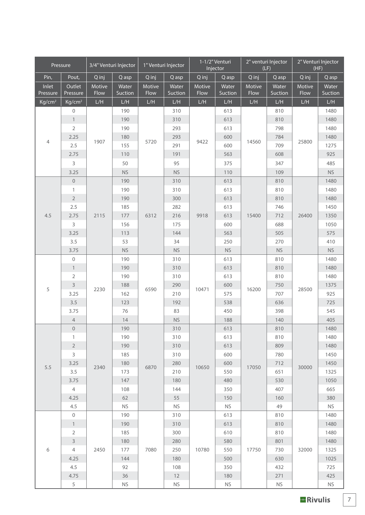|                    | Pressure           |        | 3/4" Venturi Injector |                                        | 1" Venturi Injector  |        | 1-1/2" Venturi<br>Injector |        | 2" venturi Injector<br>(LF) |        | 2" Venturi Injector<br>(HF) |  |
|--------------------|--------------------|--------|-----------------------|----------------------------------------|----------------------|--------|----------------------------|--------|-----------------------------|--------|-----------------------------|--|
| Pin,               | Pout,              | Q inj  | Q asp                 | Q inj                                  | Q asp                | Q inj  | Q asp                      | Q inj  | Q asp                       | Q inj  | Q asp                       |  |
| Inlet              | Outlet             | Motive | Water                 | Motive                                 | Water                | Motive | Water                      | Motive | Water                       | Motive | Water                       |  |
| Pressure           | Pressure           | Flow   | Suction               | Flow                                   | Suction              | Flow   | Suction                    | Flow   | Suction                     | Flow   | Suction                     |  |
| Kg/cm <sup>2</sup> | Kg/cm <sup>2</sup> | L/H    | L/H                   | L/H                                    | L/H                  | L/H    | L/H                        | L/H    | L/H                         | L/H    | L/H                         |  |
|                    | $\mathbf 0$        |        | 190                   |                                        | 310                  |        | 613                        |        | 810                         |        | 1480                        |  |
|                    | $\mathbf{1}$       |        | 190                   | 5720                                   | 310                  |        | 613                        |        | 810                         |        | 1480                        |  |
|                    | $\overline{2}$     |        | 190                   |                                        | 293                  |        | 613                        |        | 798                         |        | 1480                        |  |
| $\overline{4}$     | 2.25               | 1907   | 180                   |                                        | 293                  | 9422   | 600                        | 14560  | 784                         | 25800  | 1480                        |  |
|                    | 2.5                |        | 155                   |                                        | 291                  |        | 600                        |        | 709                         |        | 1275                        |  |
|                    | 2.75               |        | 110                   |                                        | 191                  |        | 563                        |        | 608                         |        | 925                         |  |
|                    | 3                  |        | 50                    |                                        | 95                   |        | 375                        |        | 347                         |        | 485                         |  |
|                    | 3.25               |        | <b>NS</b>             |                                        | <b>NS</b>            |        | 110                        |        | 109                         |        | <b>NS</b>                   |  |
|                    | $\boldsymbol{0}$   |        | 190                   |                                        | 310                  |        | 613                        |        | 810                         |        | 1480                        |  |
|                    | $\mathbf{1}$       |        | 190                   |                                        | 310                  |        | 613                        |        | 810                         |        | 1480                        |  |
|                    | $\overline{2}$     |        | 190                   |                                        | 300                  |        | 613                        |        | 810                         |        | 1480                        |  |
| 4.5                | 2.5<br>2.75        | 2115   | 185<br>177            |                                        | 282<br>216           |        | 613<br>613                 |        | 746<br>712                  | 26400  | 1450<br>1350                |  |
|                    | $\mathsf{3}$       |        | 156                   | 6312                                   | 175                  | 9918   | 600                        | 15400  | 688                         |        | 1050                        |  |
|                    | 3.25               |        | 113                   |                                        | 144                  |        | 563                        |        | 505                         |        | 575                         |  |
|                    | 3.5                |        | 53                    | 34                                     |                      |        | 250                        |        | 270                         |        | 410                         |  |
|                    | 3.75               |        | <b>NS</b>             |                                        | <b>NS</b>            |        | <b>NS</b>                  |        | $\mathsf{NS}\xspace$        |        | $\mathsf{NS}\xspace$        |  |
|                    | $\mathbf 0$        |        | 190                   |                                        | 310                  |        | 613                        |        | 810                         |        | 1480                        |  |
|                    | $\mathbf{1}$       |        | 190                   |                                        | 310                  | 10471  | 613                        | 16200  | 810                         | 28500  | 1480                        |  |
|                    | $\mathbf 2$        | 2230   | 190                   | 310<br>290<br>6590<br>210<br>192<br>83 |                      |        | 613                        |        | 810                         |        | 1480                        |  |
|                    | 3                  |        | 188                   |                                        |                      |        | 600                        |        | 750                         |        | 1375                        |  |
| 5                  | 3.25               |        | 162                   |                                        |                      |        | 575                        |        | 707                         |        | 925                         |  |
|                    | 3.5                |        | 123                   |                                        |                      |        | 538                        |        | 636                         |        | 725                         |  |
|                    | 3.75               |        | 76                    |                                        |                      |        | 450                        |        | 398                         |        | 545                         |  |
|                    | $\overline{4}$     |        | 14                    |                                        | <b>NS</b>            |        | 188                        |        | 140                         |        | 405                         |  |
|                    | $\mathbf 0$        |        | 190                   |                                        | 310                  |        | 613                        |        | 810                         |        | 1480                        |  |
|                    | $\mathbf{1}$       |        | 190                   |                                        | 310                  |        | 613                        |        | 810                         |        | 1480                        |  |
|                    | $\sqrt{2}$         |        | 190                   |                                        | 310                  |        | 613                        |        | 809                         |        | 1480                        |  |
|                    | 3                  |        | 185                   |                                        | 310                  |        | 600                        |        | 780                         |        | 1450                        |  |
| 5.5                | 3.25               |        | 180                   |                                        | 280                  |        | 600                        |        | 712                         |        | 1450                        |  |
|                    | 3.5                | 2340   | 173                   | 6870                                   | 210                  | 10650  | 550                        | 17050  | 651                         | 30000  | 1325                        |  |
|                    | 3.75               |        | 147                   |                                        | 180                  |        | 480                        |        | 530                         |        | 1050                        |  |
|                    | $\overline{4}$     |        | 108                   |                                        | 144                  |        | 350                        |        | 407                         |        | 665                         |  |
|                    | 4.25               |        | 62                    |                                        | 55                   |        | 150                        |        | 160                         |        | 380                         |  |
|                    | 4.5                |        | <b>NS</b>             |                                        | <b>NS</b>            |        | <b>NS</b>                  |        | 49                          |        | <b>NS</b>                   |  |
|                    | $\mathbf 0$        |        | 190                   |                                        | 310                  |        | 613                        |        | 810                         |        | 1480                        |  |
|                    | $\mathbf{1}$       |        | 190                   |                                        | 310                  |        | 613                        |        | 810                         |        | 1480                        |  |
|                    | $\overline{2}$     |        | 185                   |                                        | 300                  |        | 610                        |        | 810                         |        | 1480                        |  |
|                    | $\mathsf 3$        |        | 180                   |                                        | 280                  |        | 580                        |        | 801                         |        | 1480                        |  |
| 6                  | $\overline{4}$     | 2450   | 177                   | 7080                                   | 250                  | 10780  | 550                        | 17750  | 730                         | 32000  | 1325                        |  |
|                    | 4.25               |        | 144                   |                                        | 180                  |        | 500                        |        | 630                         |        | 1025                        |  |
|                    | 4.5                |        | 92                    |                                        | 108                  |        | 350                        |        | 432                         |        | 725                         |  |
|                    | 4.75               |        | $36$                  |                                        | 12                   |        | 180                        |        | 271                         |        | 425                         |  |
|                    | $\sqrt{5}$         |        | $\mathsf{NS}\xspace$  |                                        | $\mathsf{NS}\xspace$ |        | ${\sf NS}$                 |        | $\mathsf{NS}\xspace$        |        | <b>NS</b>                   |  |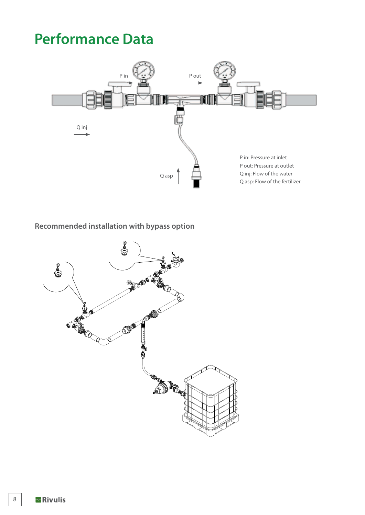# **Performance Data**



#### **Recommended installation with bypass option**

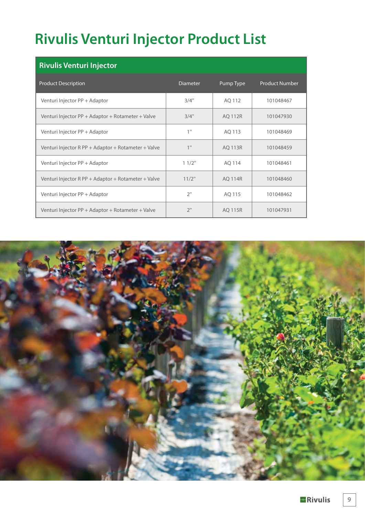# **Rivulis Venturi Injector Product List**

| <b>Rivulis Venturi Injector</b>                     |                 |                |                       |  |  |  |  |  |  |  |
|-----------------------------------------------------|-----------------|----------------|-----------------------|--|--|--|--|--|--|--|
| <b>Product Description</b>                          | <b>Diameter</b> | Pump Type      | <b>Product Number</b> |  |  |  |  |  |  |  |
| Venturi Injector PP + Adaptor                       | 3/4"            | AQ 112         | 101048467             |  |  |  |  |  |  |  |
| Venturi Injector PP + Adaptor + Rotameter + Valve   | 3/4"            | <b>AQ 112R</b> | 101047930             |  |  |  |  |  |  |  |
| Venturi Injector PP + Adaptor                       | 1"              | AQ 113         | 101048469             |  |  |  |  |  |  |  |
| Venturi Injector R PP + Adaptor + Rotameter + Valve | 1"              | <b>AQ 113R</b> | 101048459             |  |  |  |  |  |  |  |
| Venturi Injector PP + Adaptor                       | 11/2"           | AQ 114         | 101048461             |  |  |  |  |  |  |  |
| Venturi Injector R PP + Adaptor + Rotameter + Valve | 11/2"           | <b>AQ 114R</b> | 101048460             |  |  |  |  |  |  |  |
| Venturi Injector PP + Adaptor                       | 2"              | AQ 115         | 101048462             |  |  |  |  |  |  |  |
| Venturi Injector PP + Adaptor + Rotameter + Valve   | 2"              | <b>AQ 115R</b> | 101047931             |  |  |  |  |  |  |  |



9